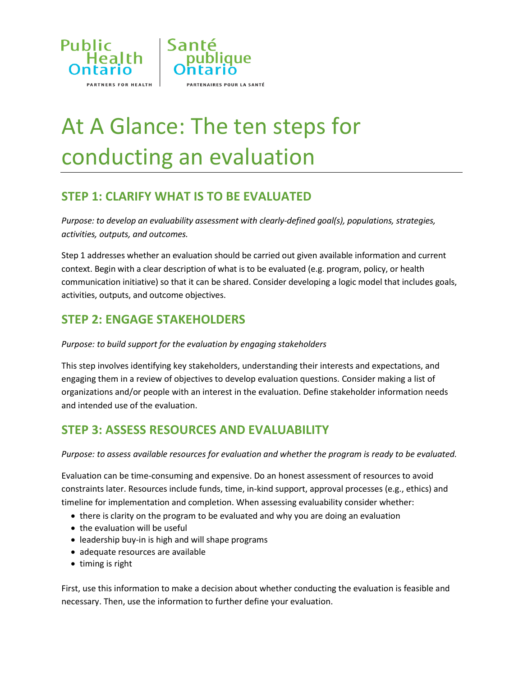



# At A Glance: The ten steps for conducting an evaluation

## **STEP 1: CLARIFY WHAT IS TO BE EVALUATED**

*Purpose: to develop an evaluability assessment with clearly-defined goal(s), populations, strategies, activities, outputs, and outcomes.* 

Step 1 addresses whether an evaluation should be carried out given available information and current context. Begin with a clear description of what is to be evaluated (e.g. program, policy, or health communication initiative) so that it can be shared. Consider developing a logic model that includes goals, activities, outputs, and outcome objectives.

#### **STEP 2: ENGAGE STAKEHOLDERS**

#### *Purpose: to build support for the evaluation by engaging stakeholders*

This step involves identifying key stakeholders, understanding their interests and expectations, and engaging them in a review of objectives to develop evaluation questions. Consider making a list of organizations and/or people with an interest in the evaluation. Define stakeholder information needs and intended use of the evaluation.

#### **STEP 3: ASSESS RESOURCES AND EVALUABILITY**

*Purpose: to assess available resources for evaluation and whether the program is ready to be evaluated.*

Evaluation can be time-consuming and expensive. Do an honest assessment of resources to avoid constraints later. Resources include funds, time, in-kind support, approval processes (e.g., ethics) and timeline for implementation and completion. When assessing evaluability consider whether:

- there is clarity on the program to be evaluated and why you are doing an evaluation
- the evaluation will be useful
- leadership buy-in is high and will shape programs
- adequate resources are available
- $\bullet$  timing is right

First, use this information to make a decision about whether conducting the evaluation is feasible and necessary. Then, use the information to further define your evaluation.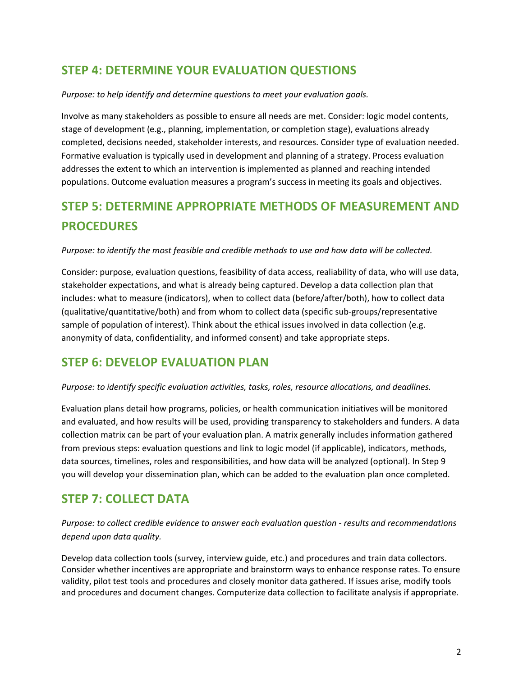#### **STEP 4: DETERMINE YOUR EVALUATION QUESTIONS**

#### *Purpose: to help identify and determine questions to meet your evaluation goals.*

Involve as many stakeholders as possible to ensure all needs are met. Consider: logic model contents, stage of development (e.g., planning, implementation, or completion stage), evaluations already completed, decisions needed, stakeholder interests, and resources. Consider type of evaluation needed. Formative evaluation is typically used in development and planning of a strategy. Process evaluation addresses the extent to which an intervention is implemented as planned and reaching intended populations. Outcome evaluation measures a program's success in meeting its goals and objectives.

## **STEP 5: DETERMINE APPROPRIATE METHODS OF MEASUREMENT AND PROCEDURES**

*Purpose: to identify the most feasible and credible methods to use and how data will be collected.*

Consider: purpose, evaluation questions, feasibility of data access, realiability of data, who will use data, stakeholder expectations, and what is already being captured. Develop a data collection plan that includes: what to measure (indicators), when to collect data (before/after/both), how to collect data (qualitative/quantitative/both) and from whom to collect data (specific sub-groups/representative sample of population of interest). Think about the ethical issues involved in data collection (e.g. anonymity of data, confidentiality, and informed consent) and take appropriate steps.

#### **STEP 6: DEVELOP EVALUATION PLAN**

*Purpose: to identify specific evaluation activities, tasks, roles, resource allocations, and deadlines.*

Evaluation plans detail how programs, policies, or health communication initiatives will be monitored and evaluated, and how results will be used, providing transparency to stakeholders and funders. A data collection matrix can be part of your evaluation plan. A matrix generally includes information gathered from previous steps: evaluation questions and link to logic model (if applicable), indicators, methods, data sources, timelines, roles and responsibilities, and how data will be analyzed (optional). In Step 9 you will develop your dissemination plan, which can be added to the evaluation plan once completed.

#### **STEP 7: COLLECT DATA**

*Purpose: to collect credible evidence to answer each evaluation question - results and recommendations depend upon data quality.*

Develop data collection tools (survey, interview guide, etc.) and procedures and train data collectors. Consider whether incentives are appropriate and brainstorm ways to enhance response rates. To ensure validity, pilot test tools and procedures and closely monitor data gathered. If issues arise, modify tools and procedures and document changes. Computerize data collection to facilitate analysis if appropriate.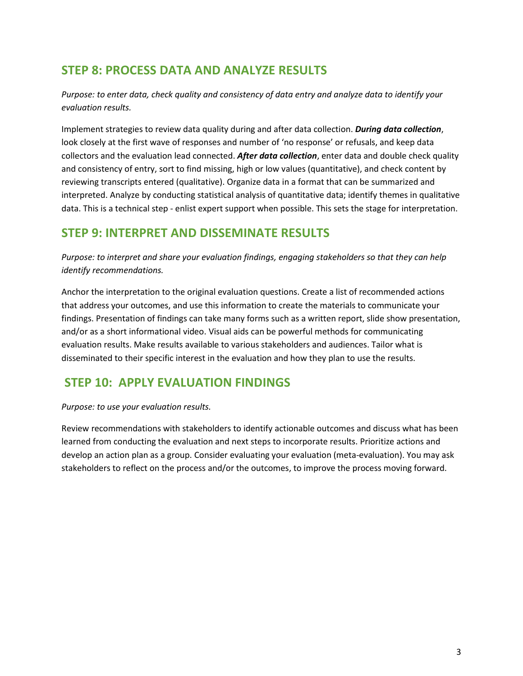#### **STEP 8: PROCESS DATA AND ANALYZE RESULTS**

*Purpose: to enter data, check quality and consistency of data entry and analyze data to identify your evaluation results.*

Implement strategies to review data quality during and after data collection. *During data collection*, look closely at the first wave of responses and number of 'no response' or refusals, and keep data collectors and the evaluation lead connected. *After data collection*, enter data and double check quality and consistency of entry, sort to find missing, high or low values (quantitative), and check content by reviewing transcripts entered (qualitative). Organize data in a format that can be summarized and interpreted. Analyze by conducting statistical analysis of quantitative data; identify themes in qualitative data. This is a technical step - enlist expert support when possible. This sets the stage for interpretation.

#### **STEP 9: INTERPRET AND DISSEMINATE RESULTS**

*Purpose: to interpret and share your evaluation findings, engaging stakeholders so that they can help identify recommendations.*

Anchor the interpretation to the original evaluation questions. Create a list of recommended actions that address your outcomes, and use this information to create the materials to communicate your findings. Presentation of findings can take many forms such as a written report, slide show presentation, and/or as a short informational video. Visual aids can be powerful methods for communicating evaluation results. Make results available to various stakeholders and audiences. Tailor what is disseminated to their specific interest in the evaluation and how they plan to use the results.

#### **STEP 10: APPLY EVALUATION FINDINGS**

*Purpose: to use your evaluation results.*

Review recommendations with stakeholders to identify actionable outcomes and discuss what has been learned from conducting the evaluation and next steps to incorporate results. Prioritize actions and develop an action plan as a group. Consider evaluating your evaluation (meta-evaluation). You may ask stakeholders to reflect on the process and/or the outcomes, to improve the process moving forward.